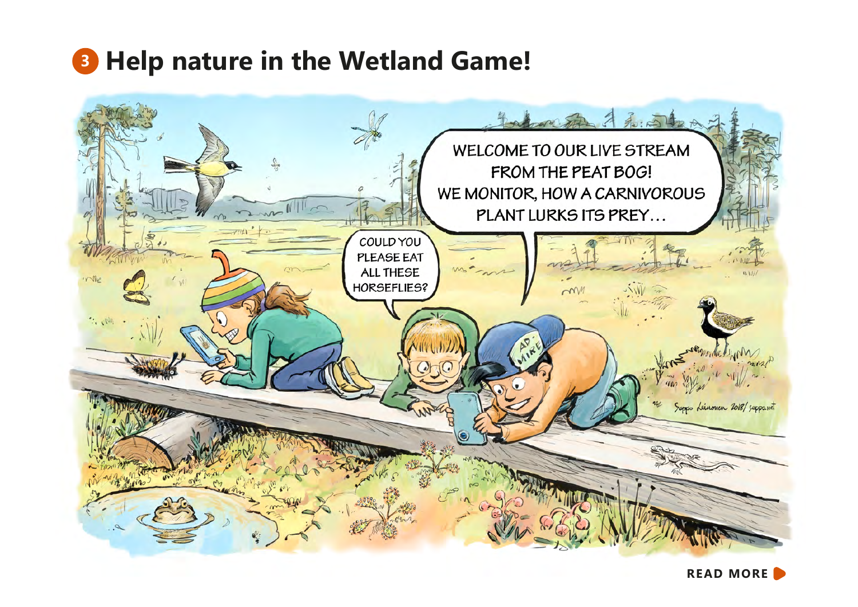## **<sup>3</sup> Help nature in the Wetland Game!**